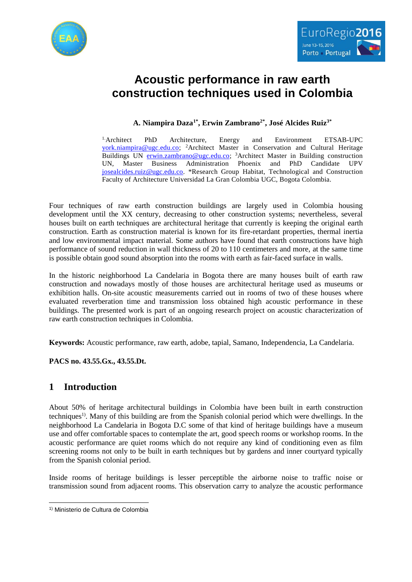



# **Acoustic performance in raw earth construction techniques used in Colombia**

### **A. Niampira Daza1\* , Erwin Zambrano2\* , José Alcides Ruiz3\***

1.Architect PhD Architecture, Energy and Environment ETSAB-UPC [york.niampira@ugc.edu.co;](mailto:york.niampira@ugc.edu.co) <sup>2</sup>Architect Master in Conservation and Cultural Heritage Buildings UN [erwin.zambrano@ugc.edu.co;](mailto:erwin.zambrano@ugc.edu.co) <sup>3</sup>Architect Master in Building construction UN, Master Business Administration Phoenix and PhD Candidate UPV [josealcides.ruiz@ugc.edu.co.](mailto:josealcides.ruiz@ugc.edu.co) \*Research Group Habitat, Technological and Construction Faculty of Architecture Universidad La Gran Colombia UGC, Bogota Colombia.

Four techniques of raw earth construction buildings are largely used in Colombia housing development until the XX century, decreasing to other construction systems; nevertheless, several houses built on earth techniques are architectural heritage that currently is keeping the original earth construction. Earth as construction material is known for its fire-retardant properties, thermal inertia and low environmental impact material. Some authors have found that earth constructions have high performance of sound reduction in wall thickness of 20 to 110 centimeters and more, at the same time is possible obtain good sound absorption into the rooms with earth as fair-faced surface in walls.

In the historic neighborhood La Candelaria in Bogota there are many houses built of earth raw construction and nowadays mostly of those houses are architectural heritage used as museums or exhibition halls. On-site acoustic measurements carried out in rooms of two of these houses where evaluated reverberation time and transmission loss obtained high acoustic performance in these buildings. The presented work is part of an ongoing research project on acoustic characterization of raw earth construction techniques in Colombia.

**Keywords:** Acoustic performance, raw earth, adobe, tapial, Samano, Independencia, La Candelaria.

**PACS no. 43.55.Gx., 43.55.Dt.**

# **1 Introduction**

About 50% of heritage architectural buildings in Colombia have been built in earth construction techniques<sup>1)</sup>. Many of this building are from the Spanish colonial period which were dwellings. In the neighborhood La Candelaria in Bogota D.C some of that kind of heritage buildings have a museum use and offer comfortable spaces to contemplate the art, good speech rooms or workshop rooms. In the acoustic performance are quiet rooms which do not require any kind of conditioning even as film screening rooms not only to be built in earth techniques but by gardens and inner courtyard typically from the Spanish colonial period.

Inside rooms of heritage buildings is lesser perceptible the airborne noise to traffic noise or transmission sound from adjacent rooms. This observation carry to analyze the acoustic performance

 $\overline{\phantom{a}}$ 

<sup>1)</sup> Ministerio de Cultura de Colombia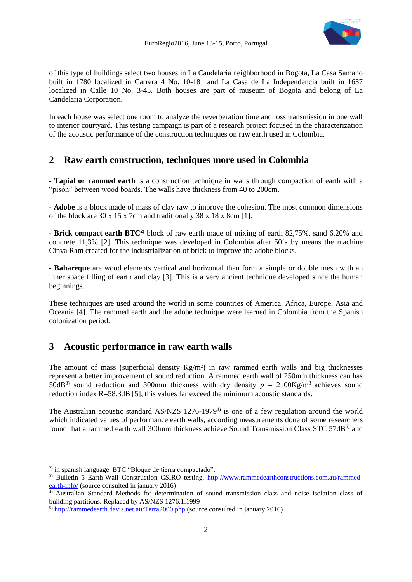

of this type of buildings select two houses in La Candelaria neighborhood in Bogota, La Casa Samano built in 1780 localized in Carrera 4 No. 10-18 and La Casa de La Independencia built in 1637 localized in Calle 10 No. 3-45. Both houses are part of museum of Bogota and belong of La Candelaria Corporation.

In each house was select one room to analyze the reverberation time and loss transmission in one wall to interior courtyard. This testing campaign is part of a research project focused in the characterization of the acoustic performance of the construction techniques on raw earth used in Colombia.

### **2 Raw earth construction, techniques more used in Colombia**

- **Tapial or rammed earth** is a construction technique in walls through compaction of earth with a "pisón" between wood boards. The walls have thickness from 40 to 200cm.

- **Adobe** is a block made of mass of clay raw to improve the cohesion. The most common dimensions of the block are  $30 \times 15 \times 7$ cm and traditionally  $38 \times 18 \times 8$ cm [1].

- **Brick compact earth BTC2)** block of raw earth made of mixing of earth 82,75%, sand 6,20% and concrete 11,3% [2]. This technique was developed in Colombia after 50´s by means the machine Cinva Ram created for the industrialization of brick to improve the adobe blocks.

- **Bahareque** are wood elements vertical and horizontal than form a simple or double mesh with an inner space filling of earth and clay [3]. This is a very ancient technique developed since the human beginnings.

These techniques are used around the world in some countries of America, Africa, Europe, Asia and Oceania [4]. The rammed earth and the adobe technique were learned in Colombia from the Spanish colonization period.

### **3 Acoustic performance in raw earth walls**

The amount of mass (superficial density  $Kg/m<sup>2</sup>$ ) in raw rammed earth walls and big thicknesses represent a better improvement of sound reduction. A rammed earth wall of 250mm thickness can has 50dB<sup>3)</sup> sound reduction and 300mm thickness with dry density  $p = 2100 \text{Kg/m}^3$  achieves sound reduction index R=58.3dB [5], this values far exceed the minimum acoustic standards.

The Australian acoustic standard AS/NZS 1276-1979<sup>4)</sup> is one of a few regulation around the world which indicated values of performance earth walls, according measurements done of some researchers found that a rammed earth wall 300mm thickness achieve Sound Transmission Class STC 57dB<sup>5)</sup> and

l

<sup>2)</sup> in spanish language BTC "Bloque de tierra compactado".

<sup>3)</sup> Bulletin 5 Earth-Wall Construction CSIRO testing. [http://www.rammedearthconstructions.com.au/rammed](http://www.rammedearthconstructions.com.au/rammed-earth-info/)[earth-info/](http://www.rammedearthconstructions.com.au/rammed-earth-info/) (source consulted in january 2016)

<sup>4)</sup> Australian Standard Methods for determination of sound transmission class and noise isolation class of building partitions. Replaced by AS/NZS 1276.1:1999

<sup>5)</sup> <http://rammedearth.davis.net.au/Terra2000.php> (source consulted in january 2016)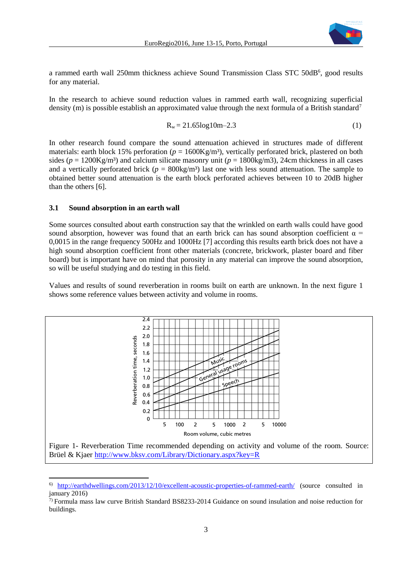

a rammed earth wall 250mm thickness achieve Sound Transmission Class STC 50dB<sup>6</sup>, good results for any material.

In the research to achieve sound reduction values in rammed earth wall, recognizing superficial density (m) is possible establish an approximated value through the next formula of a British standard<sup>7</sup>

$$
R_w = 21.65 \log 10m - 2.3\tag{1}
$$

In other research found compare the sound attenuation achieved in structures made of different materials: earth block 15% perforation ( $p = 1600$ Kg/m<sup>3</sup>), vertically perforated brick, plastered on both sides ( $p = 1200 \text{Kg/m}^3$ ) and calcium silicate masonry unit ( $p = 1800 \text{kg/m}^3$ ), 24cm thickness in all cases and a vertically perforated brick ( $p = 800 \text{kg/m}^3$ ) last one with less sound attenuation. The sample to obtained better sound attenuation is the earth block perforated achieves between 10 to 20dB higher than the others [6].

#### **3.1 Sound absorption in an earth wall**

Some sources consulted about earth construction say that the wrinkled on earth walls could have good sound absorption, however was found that an earth brick can has sound absorption coefficient  $\alpha$  = 0,0015 in the range frequency 500Hz and 1000Hz [7] according this results earth brick does not have a high sound absorption coefficient front other materials (concrete, brickwork, plaster board and fiber board) but is important have on mind that porosity in any material can improve the sound absorption, so will be useful studying and do testing in this field.

Values and results of sound reverberation in rooms built on earth are unknown. In the next figure 1 shows some reference values between activity and volume in rooms.



 $\overline{\phantom{a}}$ 6) <http://earthdwellings.com/2013/12/10/excellent-acoustic-properties-of-rammed-earth/> (source consulted in january 2016)

<sup>7)</sup> Formula mass law curve British Standard BS8233-2014 Guidance on sound insulation and noise reduction for buildings.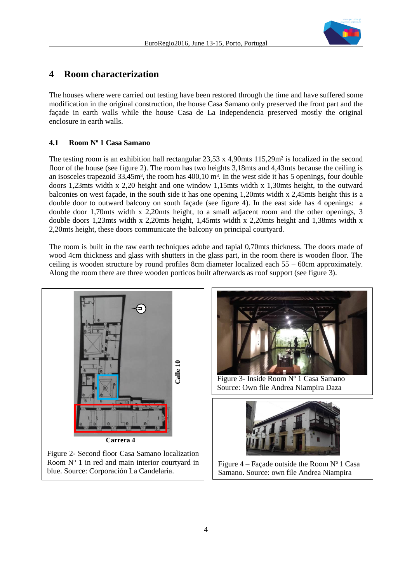

### **4 Room characterization**

The houses where were carried out testing have been restored through the time and have suffered some modification in the original construction, the house Casa Samano only preserved the front part and the façade in earth walls while the house Casa de La Independencia preserved mostly the original enclosure in earth walls.

#### **4.1 Room N<sup>o</sup> 1 Casa Samano**

The testing room is an exhibition hall rectangular 23,53 x 4,90mts 115,29m² is localized in the second floor of the house (see figure 2). The room has two heights 3,18mts and 4,43mts because the ceiling is an isosceles trapezoid 33,45m<sup>3</sup>, the room has 400,10 m<sup>3</sup>. In the west side it has 5 openings, four double doors 1,23mts width x 2,20 height and one window 1,15mts width x 1,30mts height, to the outward balconies on west façade, in the south side it has one opening 1,20mts width x 2,45mts height this is a double door to outward balcony on south façade (see figure 4). In the east side has 4 openings: a double door 1,70mts width x 2,20mts height, to a small adjacent room and the other openings, 3 double doors 1,23mts width x 2,20mts height, 1,45mts width x 2,20mts height and 1,38mts width x 2,20mts height, these doors communicate the balcony on principal courtyard.

The room is built in the raw earth techniques adobe and tapial 0,70mts thickness. The doors made of wood 4cm thickness and glass with shutters in the glass part, in the room there is wooden floor. The ceiling is wooden structure by round profiles 8cm diameter localized each 55 – 60cm approximately. Along the room there are three wooden porticos built afterwards as roof support (see figure 3).



blue. Source: Corporación La Candelaria.



Figure 3- Inside Room Nº 1 Casa Samano Source: Own file Andrea Niampira Daza



Figure 4 – Façade outside the Room  $N^{\circ}$  1 Casa Samano. Source: own file Andrea Niampira

Daza.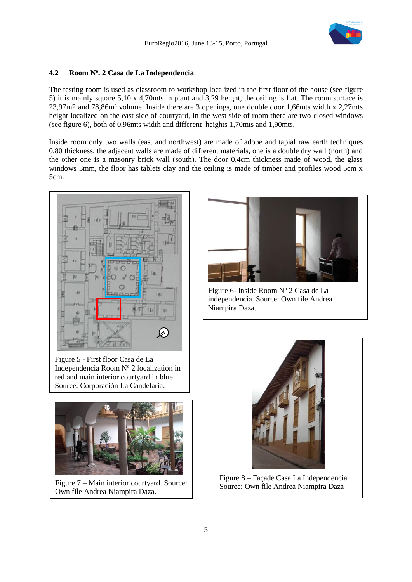

### **4.2 Room N<sup>o</sup> . 2 Casa de La Independencia**

The testing room is used as classroom to workshop localized in the first floor of the house (see figure 5) it is mainly square 5,10 x 4,70mts in plant and 3,29 height, the ceiling is flat. The room surface is 23,97m2 and 78,86m<sup>3</sup> volume. Inside there are 3 openings, one double door 1,66mts width x 2,27mts height localized on the east side of courtyard, in the west side of room there are two closed windows (see figure 6), both of 0,96mts width and different heights 1,70mts and 1,90mts.

Inside room only two walls (east and northwest) are made of adobe and tapial raw earth techniques 0,80 thickness, the adjacent walls are made of different materials, one is a double dry wall (north) and the other one is a masonry brick wall (south). The door 0,4cm thickness made of wood, the glass windows 3mm, the floor has tablets clay and the ceiling is made of timber and profiles wood 5cm x 5cm.



Figure 5 - First floor Casa de La Independencia Room  $N^{\circ}$  2 localization in red and main interior courtyard in blue. Source: Corporación La Candelaria.



Figure 7 – Main interior courtyard. Source: Own file Andrea Niampira Daza.



Figure 6- Inside Room Nº 2 Casa de La independencia. Source: Own file Andrea Niampira Daza.



Figure 8 – Façade Casa La Independencia. Source: Own file Andrea Niampira Daza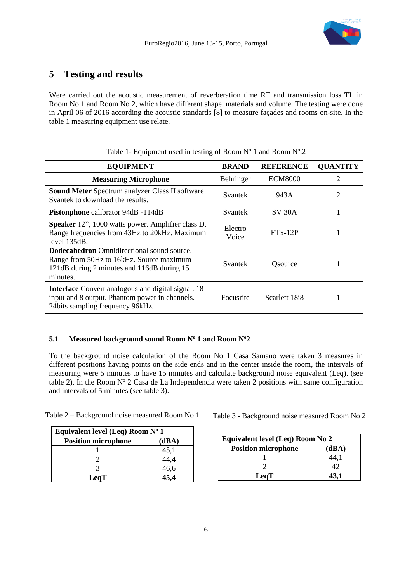

### **5 Testing and results**

Were carried out the acoustic measurement of reverberation time RT and transmission loss TL in Room No 1 and Room No 2, which have different shape, materials and volume. The testing were done in April 06 of 2016 according the acoustic standards [8] to measure façades and rooms on-site. In the table 1 measuring equipment use relate.

| <b>EQUIPMENT</b>                                                                                                                                        | <b>BRAND</b>     | <b>REFERENCE</b> | <b>QUANTITY</b> |
|---------------------------------------------------------------------------------------------------------------------------------------------------------|------------------|------------------|-----------------|
| <b>Measuring Microphone</b>                                                                                                                             | Behringer        | <b>ECM8000</b>   | $\overline{2}$  |
| <b>Sound Meter Spectrum analyzer Class II software</b><br>Svantek to download the results.                                                              | Svantek          | 943A             | $\overline{2}$  |
| Pistonphone calibrator 94dB -114dB                                                                                                                      | Svantek          | <b>SV 30A</b>    |                 |
| Speaker 12", 1000 watts power. Amplifier class D.<br>Range frequencies from 43Hz to 20kHz. Maximum<br>level 135dB.                                      | Electro<br>Voice | $ETx-12P$        |                 |
| <b>Dodecahedron</b> Omnidirectional sound source.<br>Range from 50Hz to 16kHz. Source maximum<br>121dB during 2 minutes and 116dB during 15<br>minutes. | Svantek          | Osource          |                 |
| <b>Interface</b> Convert analogous and digital signal. 18<br>input and 8 output. Phantom power in channels.<br>24 bits sampling frequency 96 kHz.       | Focusrite        | Scarlett 18i8    |                 |

Table 1- Equipment used in testing of Room  $N^{\circ}$  1 and Room  $N^{\circ}$ .2

### **5.1 Measured background sound Room N<sup>o</sup> 1 and Room N<sup>o</sup>2**

To the background noise calculation of the Room No 1 Casa Samano were taken 3 measures in different positions having points on the side ends and in the center inside the room, the intervals of measuring were 5 minutes to have 15 minutes and calculate background noise equivalent (Leq). (see table 2). In the Room  $N^{\circ}$  2 Casa de La Independencia were taken 2 positions with same configuration and intervals of 5 minutes (see table 3).

| Table 2 – Background noise measured Room No 1 |  |  |  |  |
|-----------------------------------------------|--|--|--|--|
|-----------------------------------------------|--|--|--|--|

| Equivalent level (Leq) Room $N^{\circ}$ 1 |       |  |  |  |
|-------------------------------------------|-------|--|--|--|
| <b>Position microphone</b>                | (dBA) |  |  |  |
|                                           | 45,1  |  |  |  |
|                                           | 44,4  |  |  |  |
|                                           | 46,6  |  |  |  |
| <b>LeqT</b>                               |       |  |  |  |

Table 3 - Background noise measured Room No 2

| Equivalent level (Leq) Room No 2 |       |  |  |  |
|----------------------------------|-------|--|--|--|
| <b>Position microphone</b>       | (dBA) |  |  |  |
|                                  |       |  |  |  |
|                                  |       |  |  |  |
| LeqT                             |       |  |  |  |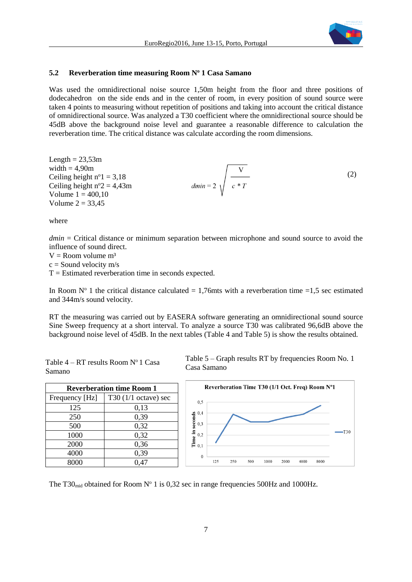

### **5.2 Reverberation time measuring Room N<sup>o</sup> 1 Casa Samano**

Was used the omnidirectional noise source 1,50m height from the floor and three positions of dodecahedron on the side ends and in the center of room, in every position of sound source were taken 4 points to measuring without repetition of positions and taking into account the critical distance of omnidirectional source. Was analyzed a T30 coefficient where the omnidirectional source should be 45dB above the background noise level and guarantee a reasonable difference to calculation the reverberation time. The critical distance was calculate according the room dimensions.

Length = 23,53m  
\nwidth = 4,90m  
\nCeiling height n°1 = 3,18  
\nCeiling height n°2 = 4,43m  
\nVolume 1 = 400,10  
\nVolume 2 = 33,45  
\n
$$
(2)
$$

where

Samano

*dmin* = Critical distance or minimum separation between microphone and sound source to avoid the influence of sound direct.

 $V =$ Room volume m<sup>3</sup>

 $c =$  Sound velocity m/s

 $T =$  Estimated reverberation time in seconds expected.

In Room  $N^{\circ}$  1 the critical distance calculated = 1,76mts with a reverberation time =1,5 sec estimated and 344m/s sound velocity.

RT the measuring was carried out by EASERA software generating an omnidirectional sound source Sine Sweep frequency at a short interval. To analyze a source T30 was calibrated 96,6dB above the background noise level of 45dB. In the next tables (Table 4 and Table 5) is show the results obtained.

Casa Samano

| <b>Reverberation time Room 1</b> |                        |  |  |  |
|----------------------------------|------------------------|--|--|--|
| Frequency [Hz]                   | T30 $(1/1$ octave) sec |  |  |  |
| 125                              | 0,13                   |  |  |  |
| 250                              | 0,39                   |  |  |  |
| 500                              | 0,32                   |  |  |  |
| 1000                             | 0,32                   |  |  |  |
| 2000                             | 0,36                   |  |  |  |
| 4000                             | 0,39                   |  |  |  |
| 8000                             | 0,47                   |  |  |  |

Table  $4 - RT$  results Room  $N^{\circ}$  1 Casa



Table 5 – Graph results RT by frequencies Room No. 1

The T30<sub>mid</sub> obtained for Room N° 1 is 0,32 sec in range frequencies 500Hz and 1000Hz.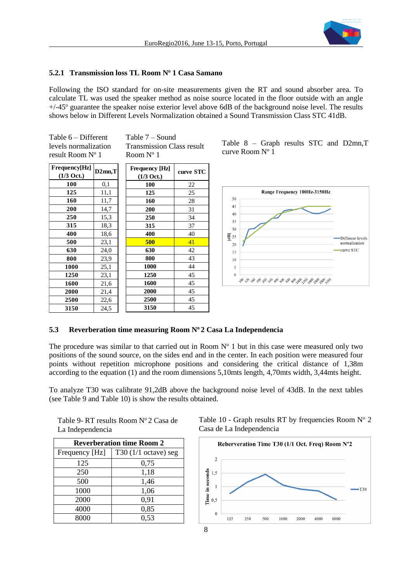

### **5.2.1 Transmission loss TL Room N<sup>o</sup> 1 Casa Samano**

Following the ISO standard for on-site measurements given the RT and sound absorber area. To calculate TL was used the speaker method as noise source located in the floor outside with an angle  $+/-45^{\circ}$  guarantee the speaker noise exterior level above 6dB of the background noise level. The results shows below in Different Levels Normalization obtained a Sound Transmission Class STC 41dB.

Table 6 – Different levels normalization result Room  $N^{\circ}$  1

Table 7 – Sound Transmission Class result Room  $N^{\circ}$  1

| Frequency[Hz]        | $D2mn$ , $T$ | <b>Frequency</b> [Hz] | curve STC |
|----------------------|--------------|-----------------------|-----------|
| $(1/3 \text{ Oct.})$ |              | $(1/3 \text{ Oct.})$  |           |
| 100                  | 0,1          | 100                   | 22        |
| 125                  | 11,1         | 125                   | 25        |
| 160                  | 11,7         | 160                   | 28        |
| 200                  | 14,7         | 200                   | 31        |
| 250                  | 15,3         | 250                   | 34        |
| 315                  | 18.3         | 315                   | 37        |
| 400                  | 18,6         | 400                   | 40        |
| 500                  | 23,1         | 500                   | 41        |
| 630                  | 24,0         | 630                   | 42        |
| 800                  | 23,9         | 800                   | 43        |
| 1000                 | 25,1         | 1000                  | 44        |
| 1250                 | 23,1         | 1250                  | 45        |
| 1600                 | 21,6         | 1600                  | 45        |
| 2000                 | 21,4         | 2000                  | 45        |
| 2500                 | 22,6         | 2500                  | 45        |
| 3150                 | 24,5         | 3150                  | 45        |

Table 8 – Graph results STC and D2mn,T curve Room Nº 1



#### **5.3 Reverberation time measuring Room N<sup>o</sup> 2 Casa La Independencia**

The procedure was similar to that carried out in Room  $N<sup>o</sup>$  1 but in this case were measured only two positions of the sound source, on the sides end and in the center. In each position were measured four points without repetition microphone positions and considering the critical distance of 1,38m according to the equation (1) and the room dimensions 5,10mts length, 4,70mts width, 3,44mts height.

To analyze T30 was calibrate 91,2dB above the background noise level of 43dB. In the next tables (see Table 9 and Table 10) is show the results obtained.

| Table 9- RT results Room N° 2 Casa de |  |
|---------------------------------------|--|
| La Independencia                      |  |

| <b>Reverberation time Room 2</b> |                                |  |  |
|----------------------------------|--------------------------------|--|--|
| Frequency [Hz]                   | T30 $(1/1 \text{ octave})$ seg |  |  |
| 125                              | 0,75                           |  |  |
| 250                              | 1,18                           |  |  |
| 500                              | 1,46                           |  |  |
| 1000                             | 1,06                           |  |  |
| 2000                             | 0,91                           |  |  |
| 4000                             | 0,85                           |  |  |
| 8000                             | 0,53                           |  |  |

Table 10 - Graph results RT by frequencies Room  $N^{\circ}$  2 Casa de La Independencia

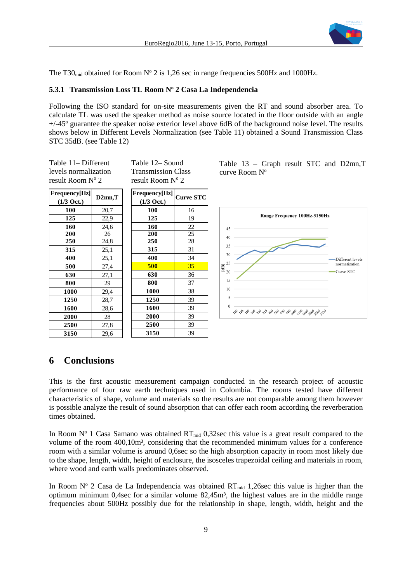

The T30<sub>mid</sub> obtained for Room N° 2 is 1,26 sec in range frequencies 500Hz and 1000Hz.

### **5.3.1 Transmission Loss TL Room N<sup>o</sup> 2 Casa La Independencia**

Following the ISO standard for on-site measurements given the RT and sound absorber area. To calculate TL was used the speaker method as noise source located in the floor outside with an angle  $+/-45^{\circ}$  guarantee the speaker noise exterior level above 6dB of the background noise level. The results shows below in Different Levels Normalization (see Table 11) obtained a Sound Transmission Class STC 35dB. (see Table 12)

Table 11– Different levels normalization result Room Nº 2

Table 12– Sound Transmission Class result Room N° 2

| Frequency[Hz]        | $D2mn$ , $T$ | Frequency[Hz]        | <b>Curve STC</b> |
|----------------------|--------------|----------------------|------------------|
| $(1/3 \text{ Oct.})$ |              | $(1/3 \text{ Oct.})$ |                  |
| 100                  | 20,7         | 100                  | 16               |
| 125                  | 22,9         | 125                  | 19               |
| 160                  | 24,6         | 160                  | 22               |
| 200                  | 26           | 200                  | 25               |
| 250                  | 24,8         | 250                  | 28               |
| 315                  | 25,1         | 315                  | 31               |
| 400                  | 25,1         | 400                  | 34               |
| 500                  | 27,4         | 500                  | 35               |
| 630                  | 27,1         | 630                  | 36               |
| 800                  | 29           | 800                  | 37               |
| 1000                 | 29,4         | 1000                 | 38               |
| 1250                 | 28,7         | 1250                 | 39               |
| 1600                 | 28,6         | 1600                 | 39               |
| 2000                 | 28           | 2000                 | 39               |
| 2500                 | 27,8         | 2500                 | 39               |
| 3150                 | 29,6         | 3150                 | 39               |

Table 13 – Graph result STC and D2mn,T curve Room N°



# **6 Conclusions**

This is the first acoustic measurement campaign conducted in the research project of acoustic performance of four raw earth techniques used in Colombia. The rooms tested have different characteristics of shape, volume and materials so the results are not comparable among them however is possible analyze the result of sound absorption that can offer each room according the reverberation times obtained.

In Room  $N^{\circ}$  1 Casa Samano was obtained  $RT_{mid}$  0,32sec this value is a great result compared to the volume of the room 400,10m³, considering that the recommended minimum values for a conference room with a similar volume is around 0,6sec so the high absorption capacity in room most likely due to the shape, length, width, height of enclosure, the isosceles trapezoidal ceiling and materials in room, where wood and earth walls predominates observed.

In Room N° 2 Casa de La Independencia was obtained  $RT_{mid}$  1,26sec this value is higher than the optimum minimum 0,4sec for a similar volume 82,45m<sup>3</sup>, the highest values are in the middle range frequencies about 500Hz possibly due for the relationship in shape, length, width, height and the